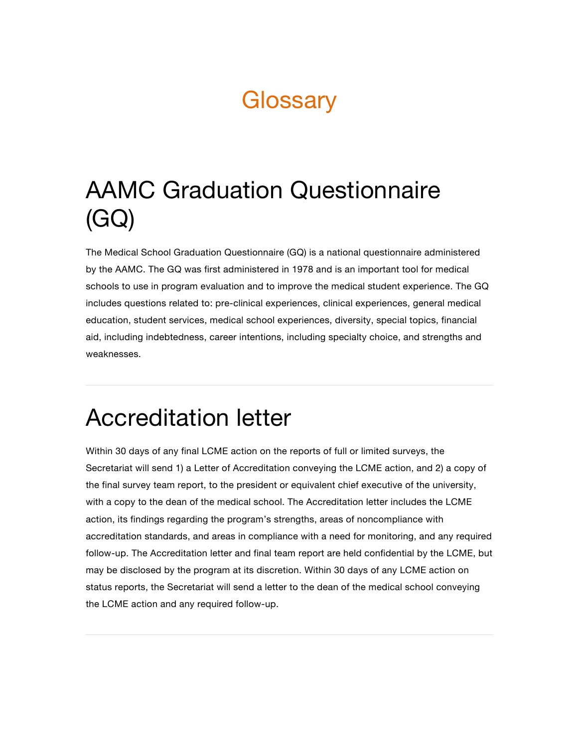### **Glossary**

## AAMC Graduation Questionnaire (GQ)

The Medical School Graduation Questionnaire (GQ) is a national questionnaire administered by the AAMC. The GQ was first administered in 1978 and is an important tool for medical schools to use in program evaluation and to improve the medical student experience. The GQ includes questions related to: pre-clinical experiences, clinical experiences, general medical education, student services, medical school experiences, diversity, special topics, financial aid, including indebtedness, career intentions, including specialty choice, and strengths and weaknesses.

#### Accreditation letter

Within 30 days of any final LCME action on the reports of full or limited surveys, the Secretariat will send 1) a Letter of Accreditation conveying the LCME action, and 2) a copy of the final survey team report, to the president or equivalent chief executive of the university, with a copy to the dean of the medical school. The Accreditation letter includes the LCME action, its findings regarding the program's strengths, areas of noncompliance with accreditation standards, and areas in compliance with a need for monitoring, and any required follow-up. The Accreditation letter and final team report are held confidential by the LCME, but may be disclosed by the program at its discretion. Within 30 days of any LCME action on status reports, the Secretariat will send a letter to the dean of the medical school conveying the LCME action and any required follow-up.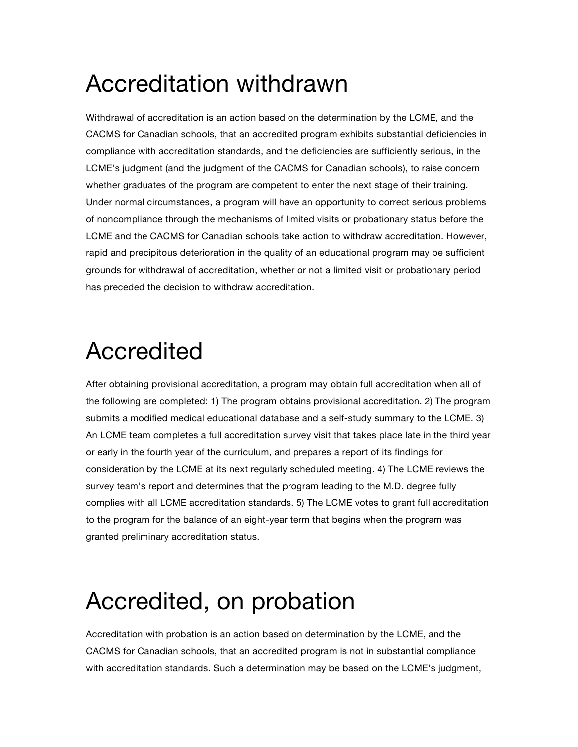## Accreditation withdrawn

Withdrawal of accreditation is an action based on the determination by the LCME, and the CACMS for Canadian schools, that an accredited program exhibits substantial deficiencies in compliance with accreditation standards, and the deficiencies are sufficiently serious, in the LCME's judgment (and the judgment of the CACMS for Canadian schools), to raise concern whether graduates of the program are competent to enter the next stage of their training. Under normal circumstances, a program will have an opportunity to correct serious problems of noncompliance through the mechanisms of limited visits or probationary status before the LCME and the CACMS for Canadian schools take action to withdraw accreditation. However, rapid and precipitous deterioration in the quality of an educational program may be sufficient grounds for withdrawal of accreditation, whether or not a limited visit or probationary period has preceded the decision to withdraw accreditation.

#### Accredited

After obtaining provisional accreditation, a program may obtain full accreditation when all of the following are completed: 1) The program obtains provisional accreditation. 2) The program submits a modified medical educational database and a self-study summary to the LCME. 3) An LCME team completes a full accreditation survey visit that takes place late in the third year or early in the fourth year of the curriculum, and prepares a report of its findings for consideration by the LCME at its next regularly scheduled meeting. 4) The LCME reviews the survey team's report and determines that the program leading to the M.D. degree fully complies with all LCME accreditation standards. 5) The LCME votes to grant full accreditation to the program for the balance of an eight-year term that begins when the program was granted preliminary accreditation status.

### Accredited, on probation

Accreditation with probation is an action based on determination by the LCME, and the CACMS for Canadian schools, that an accredited program is not in substantial compliance with accreditation standards. Such a determination may be based on the LCME's judgment,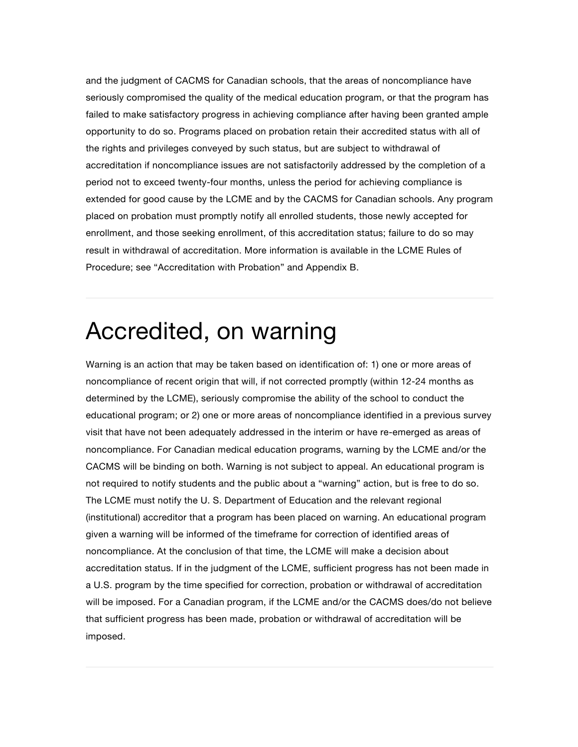and the judgment of CACMS for Canadian schools, that the areas of noncompliance have seriously compromised the quality of the medical education program, or that the program has failed to make satisfactory progress in achieving compliance after having been granted ample opportunity to do so. Programs placed on probation retain their accredited status with all of the rights and privileges conveyed by such status, but are subject to withdrawal of accreditation if noncompliance issues are not satisfactorily addressed by the completion of a period not to exceed twenty-four months, unless the period for achieving compliance is extended for good cause by the LCME and by the CACMS for Canadian schools. Any program placed on probation must promptly notify all enrolled students, those newly accepted for enrollment, and those seeking enrollment, of this accreditation status; failure to do so may result in withdrawal of accreditation. More information is available in the LCME Rules of Procedure; see "Accreditation with Probation" and Appendix B.

#### Accredited, on warning

Warning is an action that may be taken based on identification of: 1) one or more areas of noncompliance of recent origin that will, if not corrected promptly (within 12-24 months as determined by the LCME), seriously compromise the ability of the school to conduct the educational program; or 2) one or more areas of noncompliance identified in a previous survey visit that have not been adequately addressed in the interim or have re-emerged as areas of noncompliance. For Canadian medical education programs, warning by the LCME and/or the CACMS will be binding on both. Warning is not subject to appeal. An educational program is not required to notify students and the public about a "warning" action, but is free to do so. The LCME must notify the U. S. Department of Education and the relevant regional (institutional) accreditor that a program has been placed on warning. An educational program given a warning will be informed of the timeframe for correction of identified areas of noncompliance. At the conclusion of that time, the LCME will make a decision about accreditation status. If in the judgment of the LCME, sufficient progress has not been made in a U.S. program by the time specified for correction, probation or withdrawal of accreditation will be imposed. For a Canadian program, if the LCME and/or the CACMS does/do not believe that sufficient progress has been made, probation or withdrawal of accreditation will be imposed.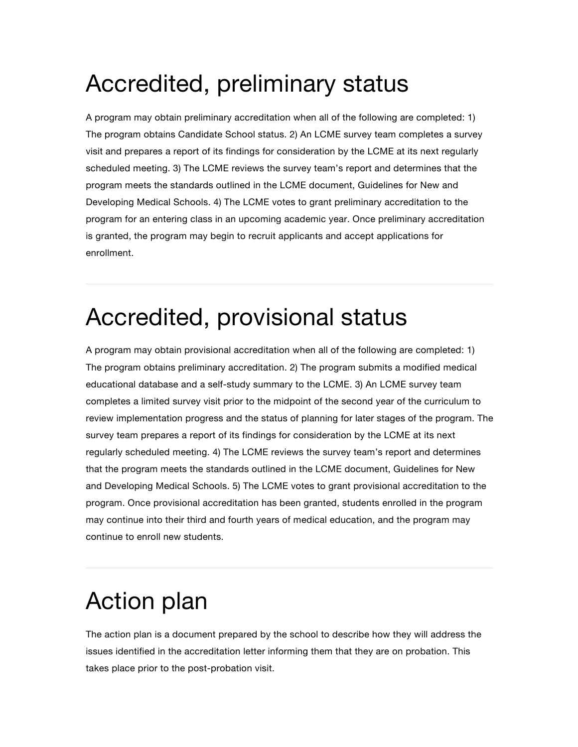## Accredited, preliminary status

A program may obtain preliminary accreditation when all of the following are completed: 1) The program obtains Candidate School status. 2) An LCME survey team completes a survey visit and prepares a report of its findings for consideration by the LCME at its next regularly scheduled meeting. 3) The LCME reviews the survey team's report and determines that the program meets the standards outlined in the LCME document, Guidelines for New and Developing Medical Schools. 4) The LCME votes to grant preliminary accreditation to the program for an entering class in an upcoming academic year. Once preliminary accreditation is granted, the program may begin to recruit applicants and accept applications for enrollment.

## Accredited, provisional status

A program may obtain provisional accreditation when all of the following are completed: 1) The program obtains preliminary accreditation. 2) The program submits a modified medical educational database and a self-study summary to the LCME. 3) An LCME survey team completes a limited survey visit prior to the midpoint of the second year of the curriculum to review implementation progress and the status of planning for later stages of the program. The survey team prepares a report of its findings for consideration by the LCME at its next regularly scheduled meeting. 4) The LCME reviews the survey team's report and determines that the program meets the standards outlined in the LCME document, Guidelines for New and Developing Medical Schools. 5) The LCME votes to grant provisional accreditation to the program. Once provisional accreditation has been granted, students enrolled in the program may continue into their third and fourth years of medical education, and the program may continue to enroll new students.

# Action plan

The action plan is a document prepared by the school to describe how they will address the issues identified in the accreditation letter informing them that they are on probation. This takes place prior to the post-probation visit.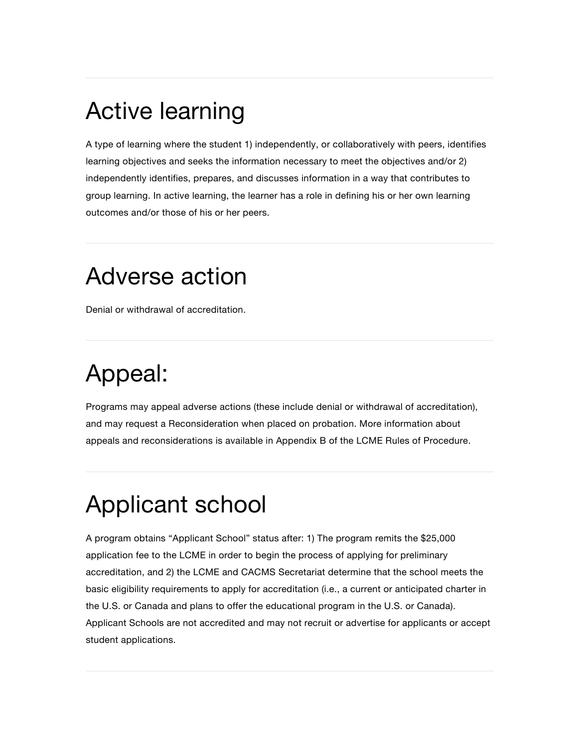## Active learning

A type of learning where the student 1) independently, or collaboratively with peers, identifies learning objectives and seeks the information necessary to meet the objectives and/or 2) independently identifies, prepares, and discusses information in a way that contributes to group learning. In active learning, the learner has a role in defining his or her own learning outcomes and/or those of his or her peers.

#### Adverse action

Denial or withdrawal of accreditation.

# Appeal:

Programs may appeal adverse actions (these include denial or withdrawal of accreditation), and may request a Reconsideration when placed on probation. More information about appeals and reconsiderations is available in Appendix B of the LCME Rules of Procedure.

# Applicant school

A program obtains "Applicant School" status after: 1) The program remits the \$25,000 application fee to the LCME in order to begin the process of applying for preliminary accreditation, and 2) the LCME and CACMS Secretariat determine that the school meets the basic eligibility requirements to apply for accreditation (i.e., a current or anticipated charter in the U.S. or Canada and plans to offer the educational program in the U.S. or Canada). Applicant Schools are not accredited and may not recruit or advertise for applicants or accept student applications.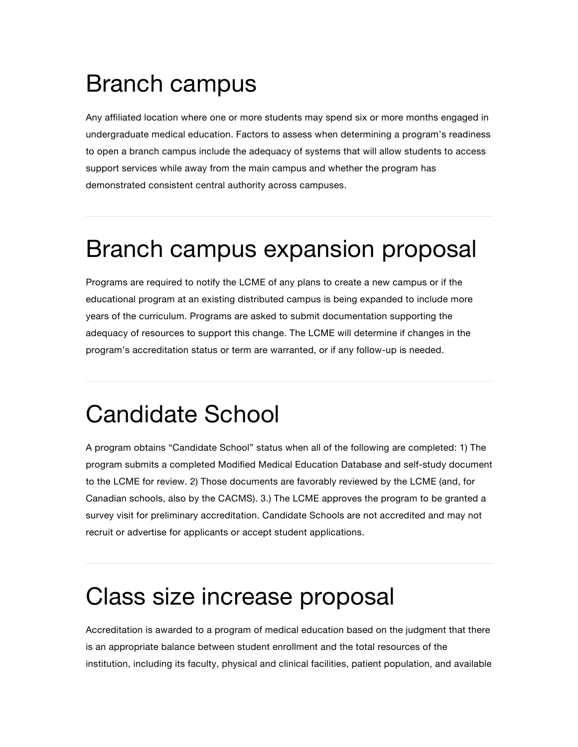### Branch campus

Any affiliated location where one or more students may spend six or more months engaged in undergraduate medical education. Factors to assess when determining a program's readiness to open a branch campus include the adequacy of systems that will allow students to access support services while away from the main campus and whether the program has demonstrated consistent central authority across campuses.

## Branch campus expansion proposal

Programs are required to notify the LCME of any plans to create a new campus or if the educational program at an existing distributed campus is being expanded to include more years of the curriculum. Programs are asked to submit documentation supporting the adequacy of resources to support this change. The LCME will determine if changes in the program's accreditation status or term are warranted, or if any follow-up is needed.

## Candidate School

A program obtains "Candidate School" status when all of the following are completed: 1) The program submits a completed Modified Medical Education Database and self-study document to the LCME for review. 2) Those documents are favorably reviewed by the LCME (and, for Canadian schools, also by the CACMS). 3.) The LCME approves the program to be granted a survey visit for preliminary accreditation. Candidate Schools are not accredited and may not recruit or advertise for applicants or accept student applications.

### Class size increase proposal

Accreditation is awarded to a program of medical education based on the judgment that there is an appropriate balance between student enrollment and the total resources of the institution, including its faculty, physical and clinical facilities, patient population, and available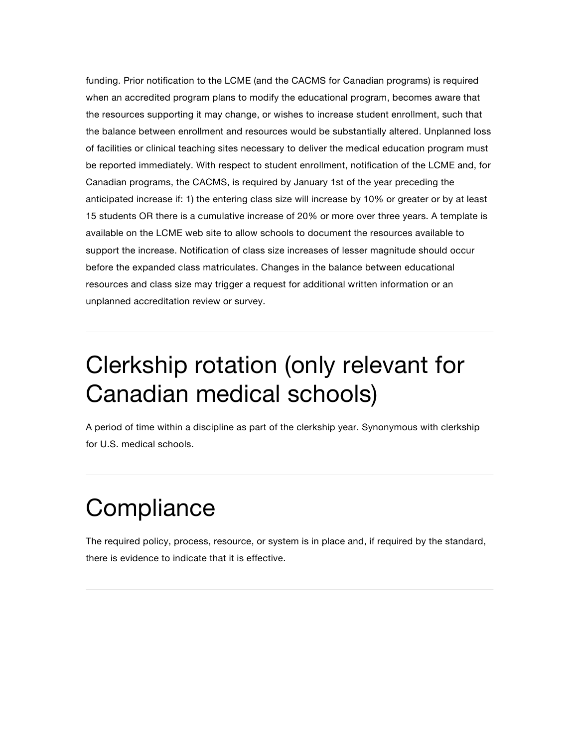funding. Prior notification to the LCME (and the CACMS for Canadian programs) is required when an accredited program plans to modify the educational program, becomes aware that the resources supporting it may change, or wishes to increase student enrollment, such that the balance between enrollment and resources would be substantially altered. Unplanned loss of facilities or clinical teaching sites necessary to deliver the medical education program must be reported immediately. With respect to student enrollment, notification of the LCME and, for Canadian programs, the CACMS, is required by January 1st of the year preceding the anticipated increase if: 1) the entering class size will increase by 10% or greater or by at least 15 students OR there is a cumulative increase of 20% or more over three years. A template is available on the LCME web site to allow schools to document the resources available to support the increase. Notification of class size increases of lesser magnitude should occur before the expanded class matriculates. Changes in the balance between educational resources and class size may trigger a request for additional written information or an unplanned accreditation review or survey.

### Clerkship rotation (only relevant for Canadian medical schools)

A period of time within a discipline as part of the clerkship year. Synonymous with clerkship for U.S. medical schools.

# **Compliance**

The required policy, process, resource, or system is in place and, if required by the standard, there is evidence to indicate that it is effective.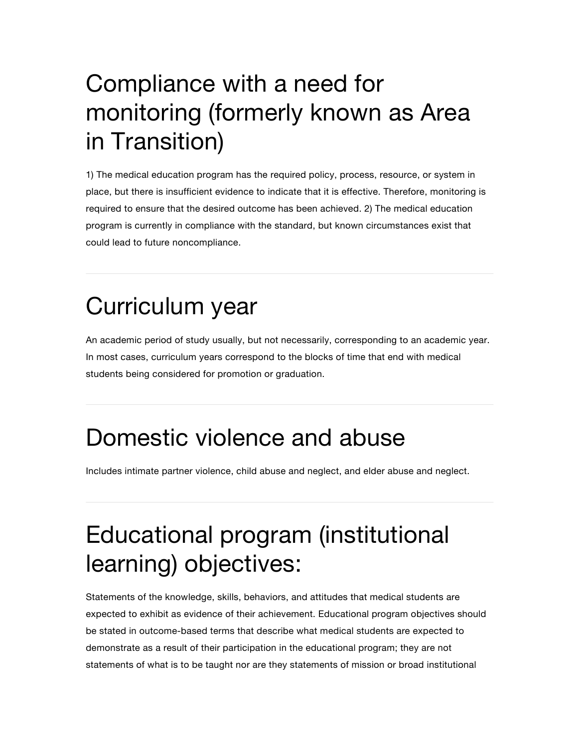# Compliance with a need for monitoring (formerly known as Area in Transition)

1) The medical education program has the required policy, process, resource, or system in place, but there is insufficient evidence to indicate that it is effective. Therefore, monitoring is required to ensure that the desired outcome has been achieved. 2) The medical education program is currently in compliance with the standard, but known circumstances exist that could lead to future noncompliance.

## Curriculum year

An academic period of study usually, but not necessarily, corresponding to an academic year. In most cases, curriculum years correspond to the blocks of time that end with medical students being considered for promotion or graduation.

### Domestic violence and abuse

Includes intimate partner violence, child abuse and neglect, and elder abuse and neglect.

## Educational program (institutional learning) objectives:

Statements of the knowledge, skills, behaviors, and attitudes that medical students are expected to exhibit as evidence of their achievement. Educational program objectives should be stated in outcome-based terms that describe what medical students are expected to demonstrate as a result of their participation in the educational program; they are not statements of what is to be taught nor are they statements of mission or broad institutional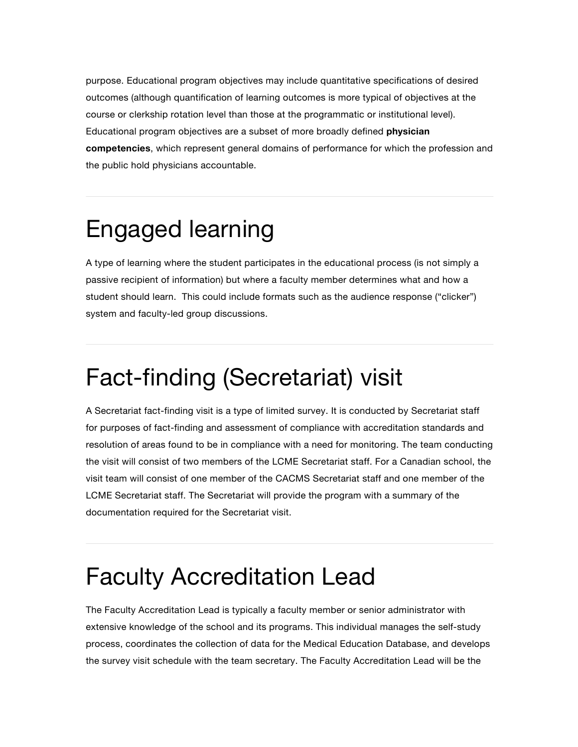purpose. Educational program objectives may include quantitative specifications of desired outcomes (although quantification of learning outcomes is more typical of objectives at the course or clerkship rotation level than those at the programmatic or institutional level). Educational program objectives are a subset of more broadly defined **physician competencies**, which represent general domains of performance for which the profession and the public hold physicians accountable.

### Engaged learning

A type of learning where the student participates in the educational process (is not simply a passive recipient of information) but where a faculty member determines what and how a student should learn. This could include formats such as the audience response ("clicker") system and faculty-led group discussions.

# Fact-finding (Secretariat) visit

A Secretariat fact-finding visit is a type of limited survey. It is conducted by Secretariat staff for purposes of fact-finding and assessment of compliance with accreditation standards and resolution of areas found to be in compliance with a need for monitoring. The team conducting the visit will consist of two members of the LCME Secretariat staff. For a Canadian school, the visit team will consist of one member of the CACMS Secretariat staff and one member of the LCME Secretariat staff. The Secretariat will provide the program with a summary of the documentation required for the Secretariat visit.

### Faculty Accreditation Lead

The Faculty Accreditation Lead is typically a faculty member or senior administrator with extensive knowledge of the school and its programs. This individual manages the self-study process, coordinates the collection of data for the Medical Education Database, and develops the survey visit schedule with the team secretary. The Faculty Accreditation Lead will be the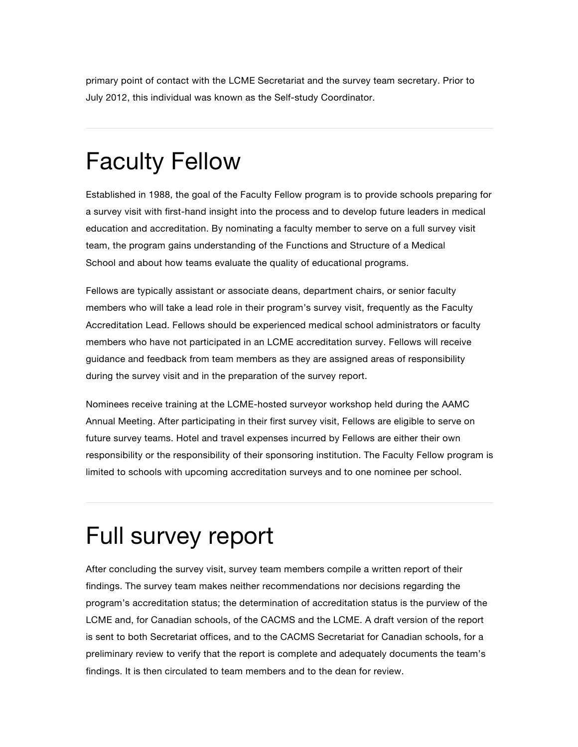primary point of contact with the LCME Secretariat and the survey team secretary. Prior to July 2012, this individual was known as the Self-study Coordinator.

### Faculty Fellow

Established in 1988, the goal of the Faculty Fellow program is to provide schools preparing for a survey visit with first-hand insight into the process and to develop future leaders in medical education and accreditation. By nominating a faculty member to serve on a full survey visit team, the program gains understanding of the Functions and Structure of a Medical School and about how teams evaluate the quality of educational programs.

Fellows are typically assistant or associate deans, department chairs, or senior faculty members who will take a lead role in their program's survey visit, frequently as the Faculty Accreditation Lead. Fellows should be experienced medical school administrators or faculty members who have not participated in an LCME accreditation survey. Fellows will receive guidance and feedback from team members as they are assigned areas of responsibility during the survey visit and in the preparation of the survey report.

Nominees receive training at the LCME-hosted surveyor workshop held during the AAMC Annual Meeting. After participating in their first survey visit, Fellows are eligible to serve on future survey teams. Hotel and travel expenses incurred by Fellows are either their own responsibility or the responsibility of their sponsoring institution. The Faculty Fellow program is limited to schools with upcoming accreditation surveys and to one nominee per school.

# Full survey report

After concluding the survey visit, survey team members compile a written report of their findings. The survey team makes neither recommendations nor decisions regarding the program's accreditation status; the determination of accreditation status is the purview of the LCME and, for Canadian schools, of the CACMS and the LCME. A draft version of the report is sent to both Secretariat offices, and to the CACMS Secretariat for Canadian schools, for a preliminary review to verify that the report is complete and adequately documents the team's findings. It is then circulated to team members and to the dean for review.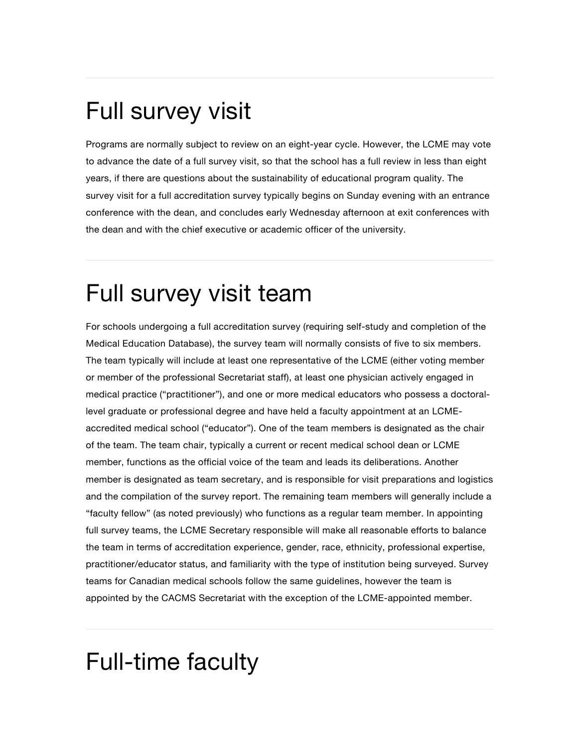## Full survey visit

Programs are normally subject to review on an eight-year cycle. However, the LCME may vote to advance the date of a full survey visit, so that the school has a full review in less than eight years, if there are questions about the sustainability of educational program quality. The survey visit for a full accreditation survey typically begins on Sunday evening with an entrance conference with the dean, and concludes early Wednesday afternoon at exit conferences with the dean and with the chief executive or academic officer of the university.

### Full survey visit team

For schools undergoing a full accreditation survey (requiring self-study and completion of the Medical Education Database), the survey team will normally consists of five to six members. The team typically will include at least one representative of the LCME (either voting member or member of the professional Secretariat staff), at least one physician actively engaged in medical practice ("practitioner"), and one or more medical educators who possess a doctorallevel graduate or professional degree and have held a faculty appointment at an LCMEaccredited medical school ("educator"). One of the team members is designated as the chair of the team. The team chair, typically a current or recent medical school dean or LCME member, functions as the official voice of the team and leads its deliberations. Another member is designated as team secretary, and is responsible for visit preparations and logistics and the compilation of the survey report. The remaining team members will generally include a "faculty fellow" (as noted previously) who functions as a regular team member. In appointing full survey teams, the LCME Secretary responsible will make all reasonable efforts to balance the team in terms of accreditation experience, gender, race, ethnicity, professional expertise, practitioner/educator status, and familiarity with the type of institution being surveyed. Survey teams for Canadian medical schools follow the same guidelines, however the team is appointed by the CACMS Secretariat with the exception of the LCME-appointed member.

### Full-time faculty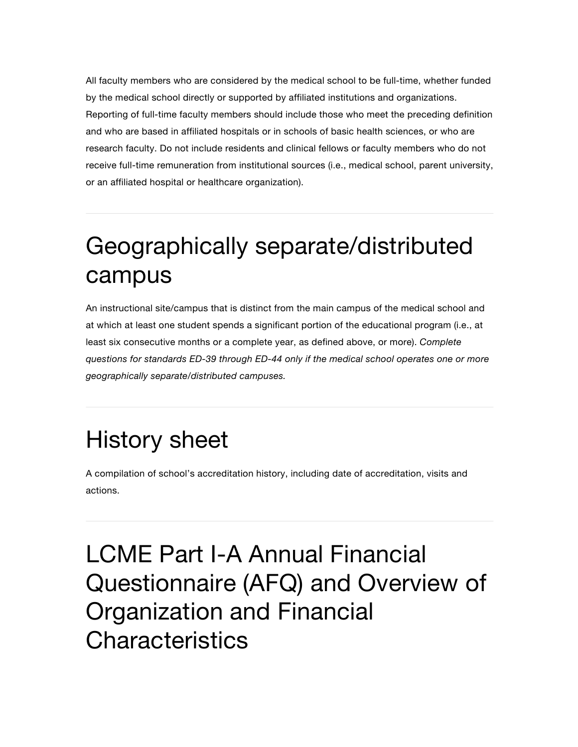All faculty members who are considered by the medical school to be full-time, whether funded by the medical school directly or supported by affiliated institutions and organizations. Reporting of full-time faculty members should include those who meet the preceding definition and who are based in affiliated hospitals or in schools of basic health sciences, or who are research faculty. Do not include residents and clinical fellows or faculty members who do not receive full-time remuneration from institutional sources (i.e., medical school, parent university, or an affiliated hospital or healthcare organization).

## Geographically separate/distributed campus

An instructional site/campus that is distinct from the main campus of the medical school and at which at least one student spends a significant portion of the educational program (i.e., at least six consecutive months or a complete year, as defined above, or more). *Complete questions for standards ED-39 through ED-44 only if the medical school operates one or more geographically separate/distributed campuses.*

# History sheet

A compilation of school's accreditation history, including date of accreditation, visits and actions.

LCME Part I-A Annual Financial Questionnaire (AFQ) and Overview of Organization and Financial **Characteristics**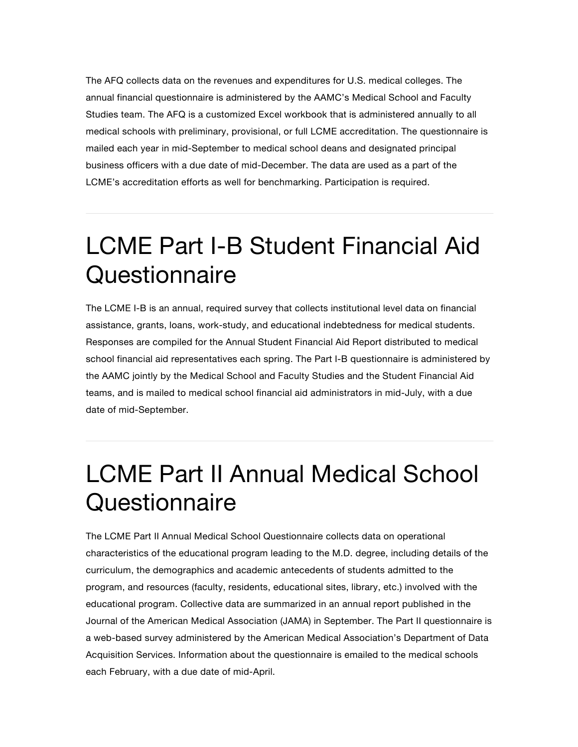The AFQ collects data on the revenues and expenditures for U.S. medical colleges. The annual financial questionnaire is administered by the AAMC's Medical School and Faculty Studies team. The AFQ is a customized Excel workbook that is administered annually to all medical schools with preliminary, provisional, or full LCME accreditation. The questionnaire is mailed each year in mid-September to medical school deans and designated principal business officers with a due date of mid-December. The data are used as a part of the LCME's accreditation efforts as well for benchmarking. Participation is required.

### LCME Part I-B Student Financial Aid **Questionnaire**

The LCME I-B is an annual, required survey that collects institutional level data on financial assistance, grants, loans, work-study, and educational indebtedness for medical students. Responses are compiled for the Annual Student Financial Aid Report distributed to medical school financial aid representatives each spring. The Part I-B questionnaire is administered by the AAMC jointly by the Medical School and Faculty Studies and the Student Financial Aid teams, and is mailed to medical school financial aid administrators in mid-July, with a due date of mid-September.

## LCME Part II Annual Medical School **Questionnaire**

The LCME Part II Annual Medical School Questionnaire collects data on operational characteristics of the educational program leading to the M.D. degree, including details of the curriculum, the demographics and academic antecedents of students admitted to the program, and resources (faculty, residents, educational sites, library, etc.) involved with the educational program. Collective data are summarized in an annual report published in the Journal of the American Medical Association (JAMA) in September. The Part II questionnaire is a web-based survey administered by the American Medical Association's Department of Data Acquisition Services. Information about the questionnaire is emailed to the medical schools each February, with a due date of mid-April.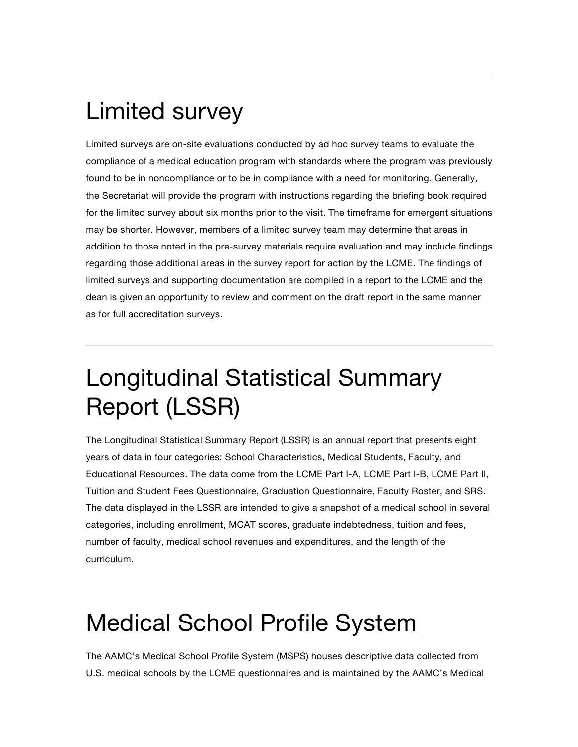## Limited survey

Limited surveys are on-site evaluations conducted by ad hoc survey teams to evaluate the compliance of a medical education program with standards where the program was previously found to be in noncompliance or to be in compliance with a need for monitoring. Generally, the Secretariat will provide the program with instructions regarding the briefing book required for the limited survey about six months prior to the visit. The timeframe for emergent situations may be shorter. However, members of a limited survey team may determine that areas in addition to those noted in the pre-survey materials require evaluation and may include findings regarding those additional areas in the survey report for action by the LCME. The findings of limited surveys and supporting documentation are compiled in a report to the LCME and the dean is given an opportunity to review and comment on the draft report in the same manner as for full accreditation surveys.

## Longitudinal Statistical Summary Report (LSSR)

The Longitudinal Statistical Summary Report (LSSR) is an annual report that presents eight years of data in four categories: School Characteristics, Medical Students, Faculty, and Educational Resources. The data come from the LCME Part I-A, LCME Part I-B, LCME Part II, Tuition and Student Fees Questionnaire, Graduation Questionnaire, Faculty Roster, and SRS. The data displayed in the LSSR are intended to give a snapshot of a medical school in several categories, including enrollment, MCAT scores, graduate indebtedness, tuition and fees, number of faculty, medical school revenues and expenditures, and the length of the curriculum.

# Medical School Profile System

The AAMC's Medical School Profile System (MSPS) houses descriptive data collected from U.S. medical schools by the LCME questionnaires and is maintained by the AAMC's Medical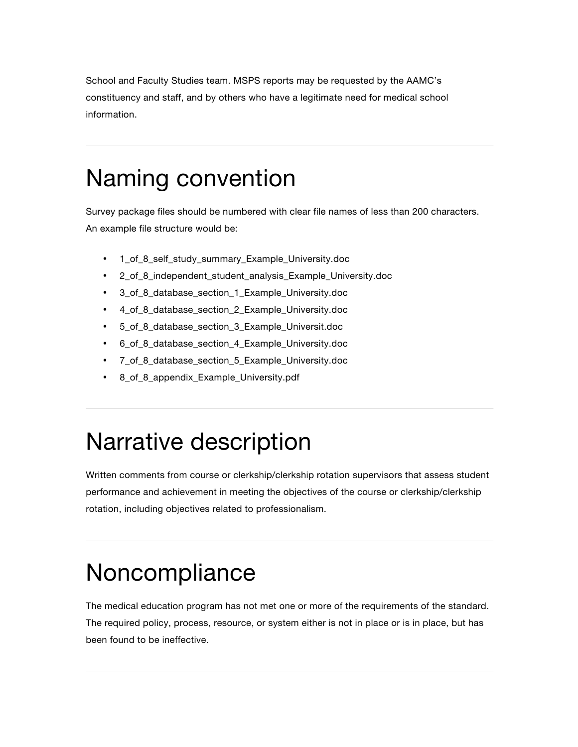School and Faculty Studies team. MSPS reports may be requested by the AAMC's constituency and staff, and by others who have a legitimate need for medical school information.

#### Naming convention

Survey package files should be numbered with clear file names of less than 200 characters. An example file structure would be:

- 1\_of\_8\_self\_study\_summary\_Example\_University.doc
- 2\_of\_8\_independent\_student\_analysis\_Example\_University.doc
- 3\_of\_8\_database\_section\_1\_Example\_University.doc
- 4\_of\_8\_database\_section\_2\_Example\_University.doc
- 5\_of\_8\_database\_section\_3\_Example\_Universit.doc
- 6\_of\_8\_database\_section\_4\_Example\_University.doc
- 7\_of\_8\_database\_section\_5\_Example\_University.doc
- 8\_of\_8\_appendix\_Example\_University.pdf

### Narrative description

Written comments from course or clerkship/clerkship rotation supervisors that assess student performance and achievement in meeting the objectives of the course or clerkship/clerkship rotation, including objectives related to professionalism.

## **Noncompliance**

The medical education program has not met one or more of the requirements of the standard. The required policy, process, resource, or system either is not in place or is in place, but has been found to be ineffective.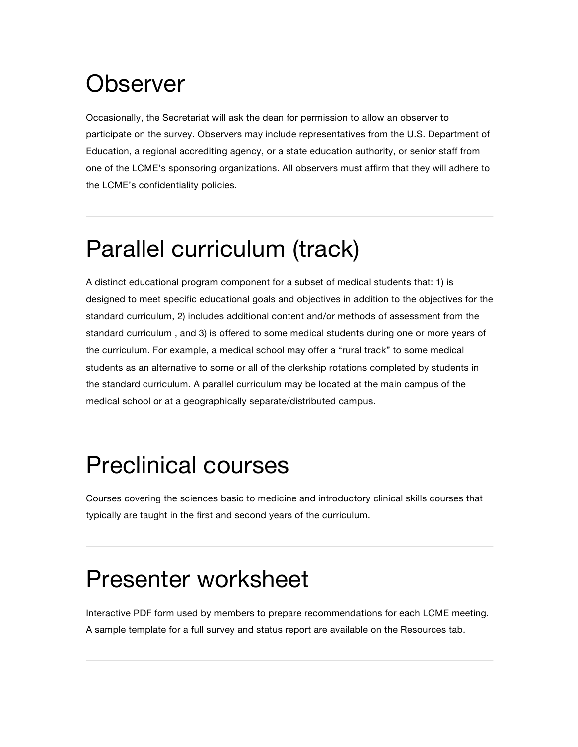### **Observer**

Occasionally, the Secretariat will ask the dean for permission to allow an observer to participate on the survey. Observers may include representatives from the U.S. Department of Education, a regional accrediting agency, or a state education authority, or senior staff from one of the LCME's sponsoring organizations. All observers must affirm that they will adhere to the LCME's confidentiality policies.

# Parallel curriculum (track)

A distinct educational program component for a subset of medical students that: 1) is designed to meet specific educational goals and objectives in addition to the objectives for the standard curriculum, 2) includes additional content and/or methods of assessment from the standard curriculum , and 3) is offered to some medical students during one or more years of the curriculum. For example, a medical school may offer a "rural track" to some medical students as an alternative to some or all of the clerkship rotations completed by students in the standard curriculum. A parallel curriculum may be located at the main campus of the medical school or at a geographically separate/distributed campus.

## Preclinical courses

Courses covering the sciences basic to medicine and introductory clinical skills courses that typically are taught in the first and second years of the curriculum.

#### Presenter worksheet

Interactive PDF form used by members to prepare recommendations for each LCME meeting. A sample template for a full survey and status report are available on the Resources tab.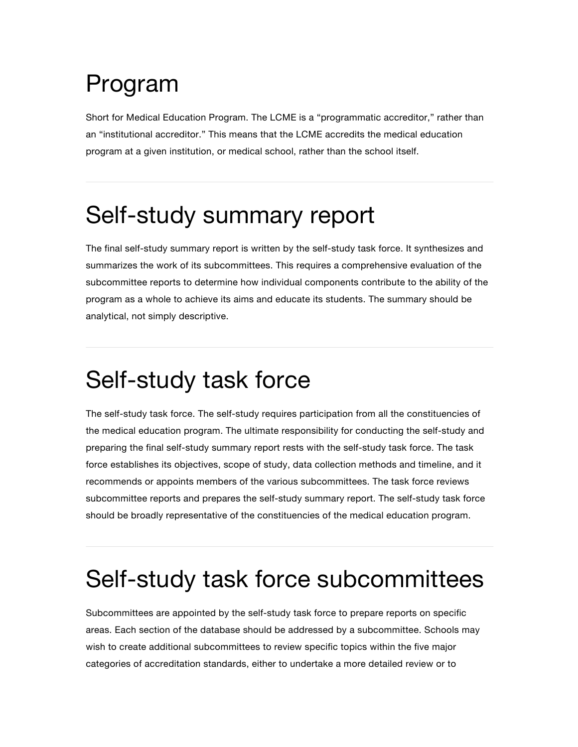## Program

Short for Medical Education Program. The LCME is a "programmatic accreditor," rather than an "institutional accreditor." This means that the LCME accredits the medical education program at a given institution, or medical school, rather than the school itself.

### Self-study summary report

The final self-study summary report is written by the self-study task force. It synthesizes and summarizes the work of its subcommittees. This requires a comprehensive evaluation of the subcommittee reports to determine how individual components contribute to the ability of the program as a whole to achieve its aims and educate its students. The summary should be analytical, not simply descriptive.

### Self-study task force

The self-study task force. The self-study requires participation from all the constituencies of the medical education program. The ultimate responsibility for conducting the self-study and preparing the final self-study summary report rests with the self-study task force. The task force establishes its objectives, scope of study, data collection methods and timeline, and it recommends or appoints members of the various subcommittees. The task force reviews subcommittee reports and prepares the self-study summary report. The self-study task force should be broadly representative of the constituencies of the medical education program.

### Self-study task force subcommittees

Subcommittees are appointed by the self-study task force to prepare reports on specific areas. Each section of the database should be addressed by a subcommittee. Schools may wish to create additional subcommittees to review specific topics within the five major categories of accreditation standards, either to undertake a more detailed review or to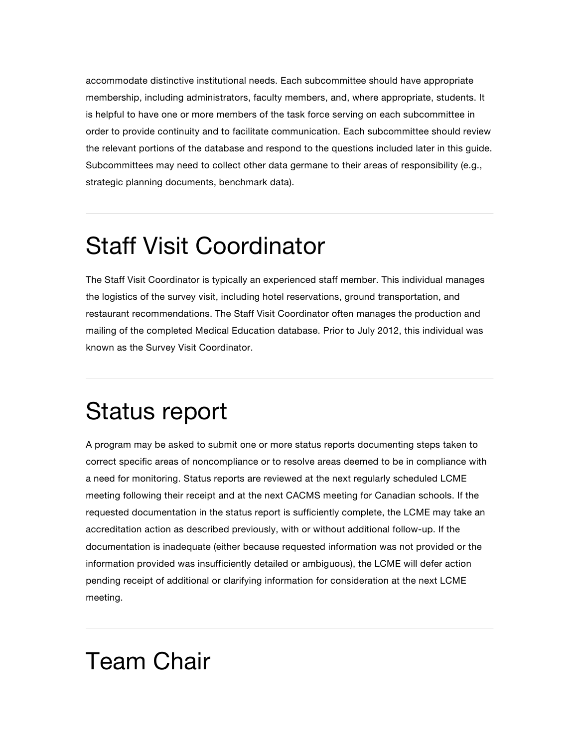accommodate distinctive institutional needs. Each subcommittee should have appropriate membership, including administrators, faculty members, and, where appropriate, students. It is helpful to have one or more members of the task force serving on each subcommittee in order to provide continuity and to facilitate communication. Each subcommittee should review the relevant portions of the database and respond to the questions included later in this guide. Subcommittees may need to collect other data germane to their areas of responsibility (e.g., strategic planning documents, benchmark data).

### Staff Visit Coordinator

The Staff Visit Coordinator is typically an experienced staff member. This individual manages the logistics of the survey visit, including hotel reservations, ground transportation, and restaurant recommendations. The Staff Visit Coordinator often manages the production and mailing of the completed Medical Education database. Prior to July 2012, this individual was known as the Survey Visit Coordinator.

#### Status report

A program may be asked to submit one or more status reports documenting steps taken to correct specific areas of noncompliance or to resolve areas deemed to be in compliance with a need for monitoring. Status reports are reviewed at the next regularly scheduled LCME meeting following their receipt and at the next CACMS meeting for Canadian schools. If the requested documentation in the status report is sufficiently complete, the LCME may take an accreditation action as described previously, with or without additional follow-up. If the documentation is inadequate (either because requested information was not provided or the information provided was insufficiently detailed or ambiguous), the LCME will defer action pending receipt of additional or clarifying information for consideration at the next LCME meeting.

### Team Chair